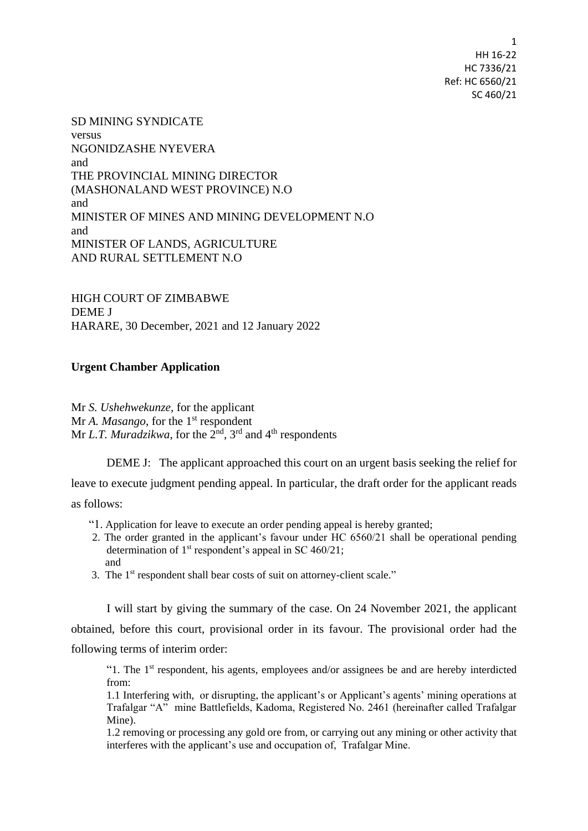SD MINING SYNDICATE versus NGONIDZASHE NYEVERA and THE PROVINCIAL MINING DIRECTOR (MASHONALAND WEST PROVINCE) N.O and MINISTER OF MINES AND MINING DEVELOPMENT N.O and MINISTER OF LANDS, AGRICULTURE AND RURAL SETTLEMENT N.O

HIGH COURT OF ZIMBABWE DEME J HARARE, 30 December, 2021 and 12 January 2022

## **Urgent Chamber Application**

Mr *S. Ushehwekunze,* for the applicant Mr *A. Masango*, for the 1<sup>st</sup> respondent Mr *L.T. Muradzikwa*, for the 2<sup>nd</sup>, 3<sup>rd</sup> and 4<sup>th</sup> respondents

DEME J: The applicant approached this court on an urgent basis seeking the relief for leave to execute judgment pending appeal. In particular, the draft order for the applicant reads as follows:

"1. Application for leave to execute an order pending appeal is hereby granted;

- 2. The order granted in the applicant's favour under HC 6560/21 shall be operational pending determination of  $1<sup>st</sup>$  respondent's appeal in SC 460/21; and
- 3. The 1<sup>st</sup> respondent shall bear costs of suit on attorney-client scale."

I will start by giving the summary of the case. On 24 November 2021, the applicant obtained, before this court, provisional order in its favour. The provisional order had the following terms of interim order:

"1. The  $1<sup>st</sup>$  respondent, his agents, employees and/or assignees be and are hereby interdicted from:

1.1 Interfering with, or disrupting, the applicant's or Applicant's agents' mining operations at Trafalgar "A" mine Battlefields, Kadoma, Registered No. 2461 (hereinafter called Trafalgar Mine).

1.2 removing or processing any gold ore from, or carrying out any mining or other activity that interferes with the applicant's use and occupation of, Trafalgar Mine.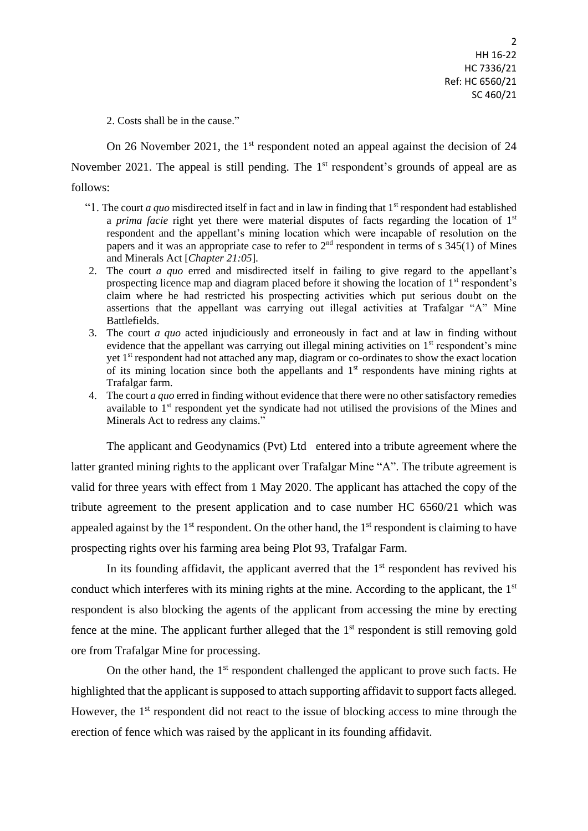2. Costs shall be in the cause."

On 26 November 2021, the 1<sup>st</sup> respondent noted an appeal against the decision of 24 November 2021. The appeal is still pending. The  $1<sup>st</sup>$  respondent's grounds of appeal are as follows:

- "1. The court *a quo* misdirected itself in fact and in law in finding that  $1<sup>st</sup>$  respondent had established a *prima facie* right yet there were material disputes of facts regarding the location of 1<sup>st</sup> respondent and the appellant's mining location which were incapable of resolution on the papers and it was an appropriate case to refer to  $2<sup>nd</sup>$  respondent in terms of s 345(1) of Mines and Minerals Act [*Chapter 21:05*].
- 2. The court *a quo* erred and misdirected itself in failing to give regard to the appellant's prospecting licence map and diagram placed before it showing the location of 1<sup>st</sup> respondent's claim where he had restricted his prospecting activities which put serious doubt on the assertions that the appellant was carrying out illegal activities at Trafalgar "A" Mine Battlefields.
- 3. The court *a quo* acted injudiciously and erroneously in fact and at law in finding without evidence that the appellant was carrying out illegal mining activities on  $1<sup>st</sup>$  respondent's mine yet 1<sup>st</sup> respondent had not attached any map, diagram or co-ordinates to show the exact location of its mining location since both the appellants and  $1<sup>st</sup>$  respondents have mining rights at Trafalgar farm.
- 4. The court *a quo* erred in finding without evidence that there were no other satisfactory remedies available to 1<sup>st</sup> respondent yet the syndicate had not utilised the provisions of the Mines and Minerals Act to redress any claims."

The applicant and Geodynamics (Pvt) Ltd entered into a tribute agreement where the latter granted mining rights to the applicant over Trafalgar Mine "A". The tribute agreement is valid for three years with effect from 1 May 2020. The applicant has attached the copy of the tribute agreement to the present application and to case number HC 6560/21 which was appealed against by the  $1<sup>st</sup>$  respondent. On the other hand, the  $1<sup>st</sup>$  respondent is claiming to have prospecting rights over his farming area being Plot 93, Trafalgar Farm.

In its founding affidavit, the applicant averred that the  $1<sup>st</sup>$  respondent has revived his conduct which interferes with its mining rights at the mine. According to the applicant, the 1<sup>st</sup> respondent is also blocking the agents of the applicant from accessing the mine by erecting fence at the mine. The applicant further alleged that the  $1<sup>st</sup>$  respondent is still removing gold ore from Trafalgar Mine for processing.

On the other hand, the  $1<sup>st</sup>$  respondent challenged the applicant to prove such facts. He highlighted that the applicant is supposed to attach supporting affidavit to support facts alleged. However, the  $1<sup>st</sup>$  respondent did not react to the issue of blocking access to mine through the erection of fence which was raised by the applicant in its founding affidavit.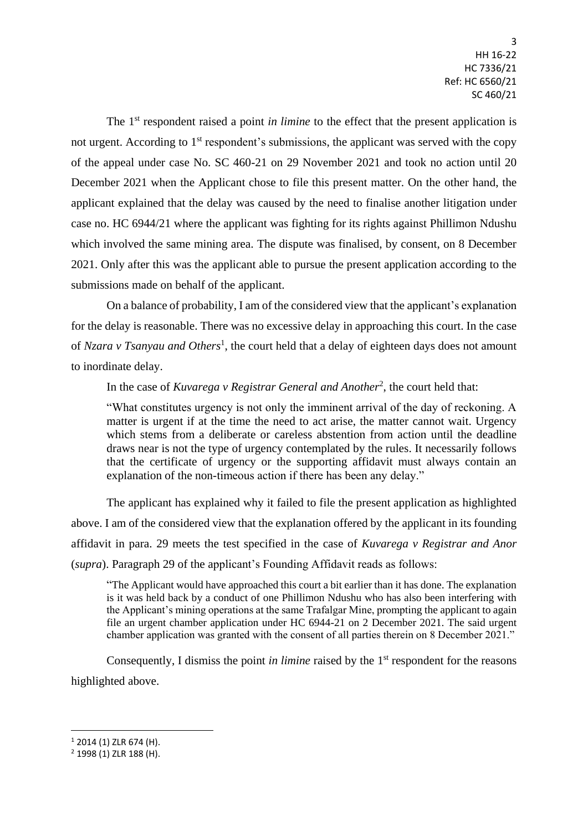The 1<sup>st</sup> respondent raised a point *in limine* to the effect that the present application is not urgent. According to  $1<sup>st</sup>$  respondent's submissions, the applicant was served with the copy of the appeal under case No. SC 460-21 on 29 November 2021 and took no action until 20 December 2021 when the Applicant chose to file this present matter. On the other hand, the applicant explained that the delay was caused by the need to finalise another litigation under case no. HC 6944/21 where the applicant was fighting for its rights against Phillimon Ndushu which involved the same mining area. The dispute was finalised, by consent, on 8 December 2021. Only after this was the applicant able to pursue the present application according to the submissions made on behalf of the applicant.

On a balance of probability, I am of the considered view that the applicant's explanation for the delay is reasonable. There was no excessive delay in approaching this court. In the case of *Nzara v Tsanyau and Others*<sup>1</sup>, the court held that a delay of eighteen days does not amount to inordinate delay.

In the case of *Kuvarega v Registrar General and Another*<sup>2</sup> , the court held that:

"What constitutes urgency is not only the imminent arrival of the day of reckoning. A matter is urgent if at the time the need to act arise, the matter cannot wait. Urgency which stems from a deliberate or careless abstention from action until the deadline draws near is not the type of urgency contemplated by the rules. It necessarily follows that the certificate of urgency or the supporting affidavit must always contain an explanation of the non-timeous action if there has been any delay."

The applicant has explained why it failed to file the present application as highlighted above. I am of the considered view that the explanation offered by the applicant in its founding affidavit in para. 29 meets the test specified in the case of *Kuvarega v Registrar and Anor* (*supra*). Paragraph 29 of the applicant's Founding Affidavit reads as follows:

"The Applicant would have approached this court a bit earlier than it has done. The explanation is it was held back by a conduct of one Phillimon Ndushu who has also been interfering with the Applicant's mining operations at the same Trafalgar Mine, prompting the applicant to again file an urgent chamber application under HC 6944-21 on 2 December 2021. The said urgent chamber application was granted with the consent of all parties therein on 8 December 2021."

Consequently, I dismiss the point *in limine* raised by the 1<sup>st</sup> respondent for the reasons highlighted above.

 $\overline{\phantom{a}}$ 

<sup>1</sup> 2014 (1) ZLR 674 (H).

<sup>2</sup> 1998 (1) ZLR 188 (H).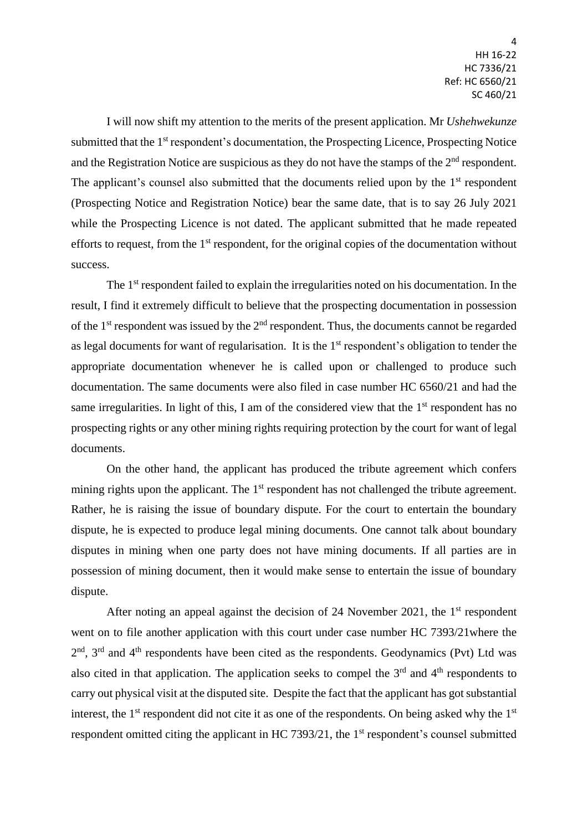I will now shift my attention to the merits of the present application. Mr *Ushehwekunze* submitted that the 1<sup>st</sup> respondent's documentation, the Prospecting Licence, Prospecting Notice and the Registration Notice are suspicious as they do not have the stamps of the  $2<sup>nd</sup>$  respondent. The applicant's counsel also submitted that the documents relied upon by the  $1<sup>st</sup>$  respondent (Prospecting Notice and Registration Notice) bear the same date, that is to say 26 July 2021 while the Prospecting Licence is not dated. The applicant submitted that he made repeated efforts to request, from the 1<sup>st</sup> respondent, for the original copies of the documentation without success.

The 1<sup>st</sup> respondent failed to explain the irregularities noted on his documentation. In the result, I find it extremely difficult to believe that the prospecting documentation in possession of the 1<sup>st</sup> respondent was issued by the  $2<sup>nd</sup>$  respondent. Thus, the documents cannot be regarded as legal documents for want of regularisation. It is the 1<sup>st</sup> respondent's obligation to tender the appropriate documentation whenever he is called upon or challenged to produce such documentation. The same documents were also filed in case number HC 6560/21 and had the same irregularities. In light of this, I am of the considered view that the  $1<sup>st</sup>$  respondent has no prospecting rights or any other mining rights requiring protection by the court for want of legal documents.

On the other hand, the applicant has produced the tribute agreement which confers mining rights upon the applicant. The 1<sup>st</sup> respondent has not challenged the tribute agreement. Rather, he is raising the issue of boundary dispute. For the court to entertain the boundary dispute, he is expected to produce legal mining documents. One cannot talk about boundary disputes in mining when one party does not have mining documents. If all parties are in possession of mining document, then it would make sense to entertain the issue of boundary dispute.

After noting an appeal against the decision of 24 November 2021, the  $1<sup>st</sup>$  respondent went on to file another application with this court under case number HC 7393/21where the  $2<sup>nd</sup>$ ,  $3<sup>rd</sup>$  and  $4<sup>th</sup>$  respondents have been cited as the respondents. Geodynamics (Pvt) Ltd was also cited in that application. The application seeks to compel the  $3<sup>rd</sup>$  and  $4<sup>th</sup>$  respondents to carry out physical visit at the disputed site. Despite the fact that the applicant has got substantial interest, the  $1<sup>st</sup>$  respondent did not cite it as one of the respondents. On being asked why the  $1<sup>st</sup>$ respondent omitted citing the applicant in HC 7393/21, the  $1<sup>st</sup>$  respondent's counsel submitted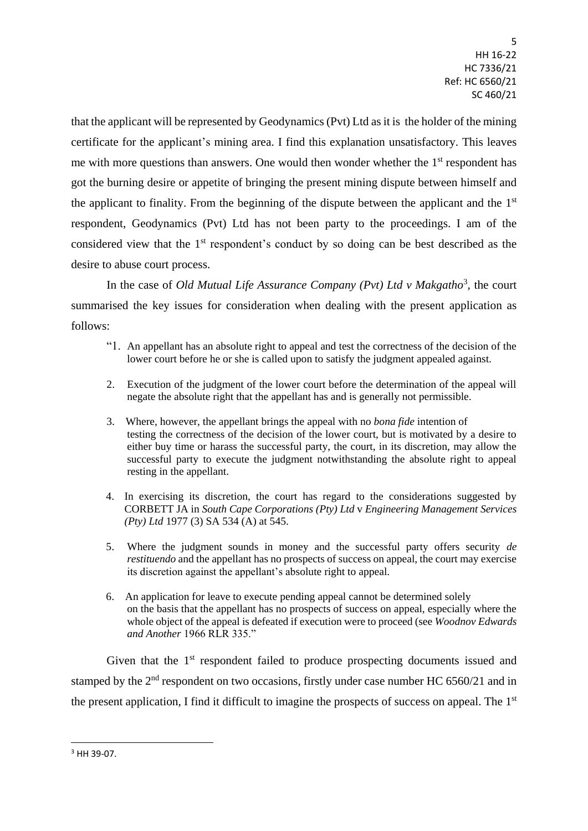that the applicant will be represented by Geodynamics (Pvt) Ltd as it is the holder of the mining certificate for the applicant's mining area. I find this explanation unsatisfactory. This leaves me with more questions than answers. One would then wonder whether the 1<sup>st</sup> respondent has got the burning desire or appetite of bringing the present mining dispute between himself and the applicant to finality. From the beginning of the dispute between the applicant and the  $1<sup>st</sup>$ respondent, Geodynamics (Pvt) Ltd has not been party to the proceedings. I am of the considered view that the 1<sup>st</sup> respondent's conduct by so doing can be best described as the desire to abuse court process.

In the case of *Old Mutual Life Assurance Company (Pvt) Ltd v Makgatho*<sup>3</sup>, the court summarised the key issues for consideration when dealing with the present application as follows:

- "1. An appellant has an absolute right to appeal and test the correctness of the decision of the lower court before he or she is called upon to satisfy the judgment appealed against.
- 2. Execution of the judgment of the lower court before the determination of the appeal will negate the absolute right that the appellant has and is generally not permissible.
- 3. Where, however, the appellant brings the appeal with no *bona fide* intention of testing the correctness of the decision of the lower court, but is motivated by a desire to either buy time or harass the successful party, the court, in its discretion, may allow the successful party to execute the judgment notwithstanding the absolute right to appeal resting in the appellant.
- 4. In exercising its discretion, the court has regard to the considerations suggested by CORBETT JA in *South Cape Corporations (Pty) Ltd* v *Engineering Management Services (Pty) Ltd* 1977 (3) SA 534 (A) at 545.
- 5. Where the judgment sounds in money and the successful party offers security *de restituendo* and the appellant has no prospects of success on appeal, the court may exercise its discretion against the appellant's absolute right to appeal.
- 6. An application for leave to execute pending appeal cannot be determined solely on the basis that the appellant has no prospects of success on appeal, especially where the whole object of the appeal is defeated if execution were to proceed (see *Woodnov Edwards and Another* 1966 RLR 335."

Given that the 1<sup>st</sup> respondent failed to produce prospecting documents issued and stamped by the 2<sup>nd</sup> respondent on two occasions, firstly under case number HC 6560/21 and in the present application, I find it difficult to imagine the prospects of success on appeal. The 1<sup>st</sup>

**.** 

<sup>3</sup> HH 39-07.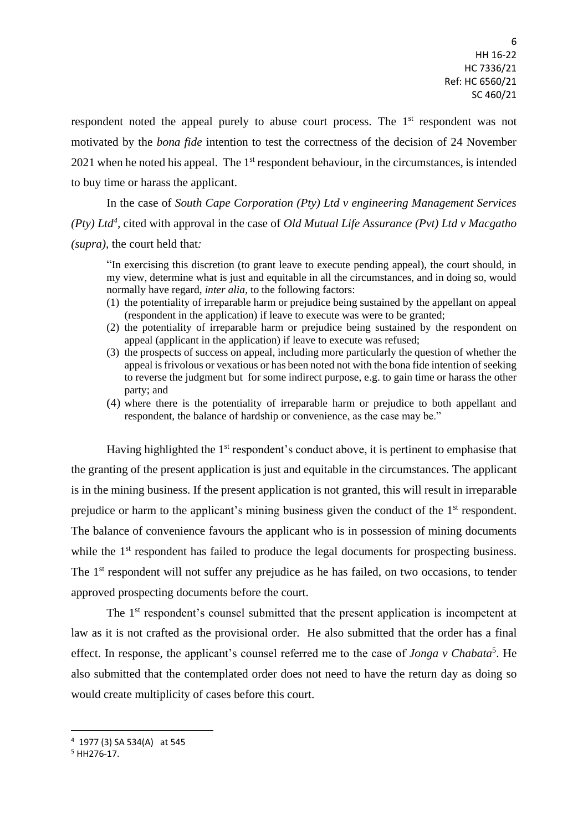respondent noted the appeal purely to abuse court process. The 1<sup>st</sup> respondent was not motivated by the *bona fide* intention to test the correctness of the decision of 24 November  $2021$  when he noted his appeal. The 1<sup>st</sup> respondent behaviour, in the circumstances, is intended to buy time or harass the applicant.

In the case of *South Cape Corporation (Pty) Ltd v engineering Management Services (Pty) Ltd<sup>4</sup> ,* cited with approval in the case of *Old Mutual Life Assurance (Pvt) Ltd v Macgatho (supra),* the court held that*:*

"In exercising this discretion (to grant leave to execute pending appeal), the court should, in my view, determine what is just and equitable in all the circumstances, and in doing so, would normally have regard, *inter alia*, to the following factors:

- (1) the potentiality of irreparable harm or prejudice being sustained by the appellant on appeal (respondent in the application) if leave to execute was were to be granted;
- (2) the potentiality of irreparable harm or prejudice being sustained by the respondent on appeal (applicant in the application) if leave to execute was refused;
- (3) the prospects of success on appeal, including more particularly the question of whether the appeal is frivolous or vexatious or has been noted not with the bona fide intention of seeking to reverse the judgment but for some indirect purpose, e.g. to gain time or harass the other party; and
- (4) where there is the potentiality of irreparable harm or prejudice to both appellant and respondent, the balance of hardship or convenience, as the case may be."

Having highlighted the 1<sup>st</sup> respondent's conduct above, it is pertinent to emphasise that the granting of the present application is just and equitable in the circumstances. The applicant is in the mining business. If the present application is not granted, this will result in irreparable prejudice or harm to the applicant's mining business given the conduct of the 1<sup>st</sup> respondent. The balance of convenience favours the applicant who is in possession of mining documents while the 1<sup>st</sup> respondent has failed to produce the legal documents for prospecting business. The 1<sup>st</sup> respondent will not suffer any prejudice as he has failed, on two occasions, to tender approved prospecting documents before the court.

The 1<sup>st</sup> respondent's counsel submitted that the present application is incompetent at law as it is not crafted as the provisional order. He also submitted that the order has a final effect. In response, the applicant's counsel referred me to the case of *Jonga v Chabata*<sup>5</sup>. He also submitted that the contemplated order does not need to have the return day as doing so would create multiplicity of cases before this court.

 $\overline{\phantom{a}}$ 

<sup>4</sup> 1977 (3) SA 534(A) at 545

 $5$  HH276-17